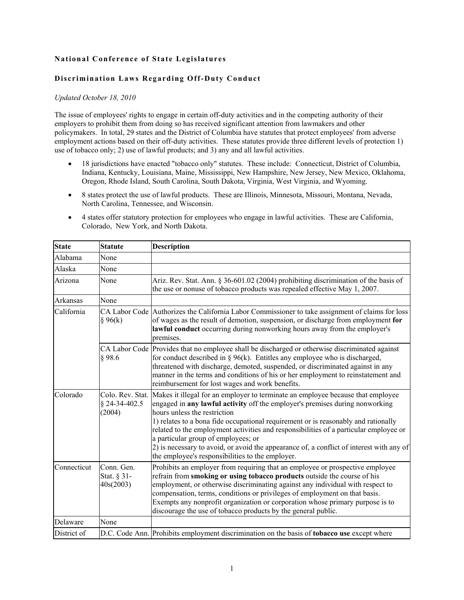## **National Conference of State Legislatures**

## **Discrimination Laws Regarding Off-Duty Conduct**

## *Updated October 18, 2010*

The issue of employees' rights to engage in certain off-duty activities and in the competing authority of their employers to prohibit them from doing so has received significant attention from lawmakers and other policymakers. In total, 29 states and the District of Columbia have statutes that protect employees' from adverse employment actions based on their off-duty activities. These statutes provide three different levels of protection 1) use of tobacco only; 2) use of lawful products; and 3) any and all lawful activities.

- 18 jurisdictions have enacted "tobacco only" statutes. These include: Connecticut, District of Columbia, Indiana, Kentucky, Louisiana, Maine, Mississippi, New Hampshire, New Jersey, New Mexico, Oklahoma, Oregon, Rhode Island, South Carolina, South Dakota, Virginia, West Virginia, and Wyoming.
- 8 states protect the use of lawful products. These are Illinois, Minnesota, Missouri, Montana, Nevada, North Carolina, Tennessee, and Wisconsin.
- 4 states offer statutory protection for employees who engage in lawful activities. These are California, Colorado, New York, and North Dakota.

| <b>State</b> | <b>Statute</b>                              | <b>Description</b>                                                                                                                                                                                                                                                                                                                                                                                                                                                                                                                                                    |
|--------------|---------------------------------------------|-----------------------------------------------------------------------------------------------------------------------------------------------------------------------------------------------------------------------------------------------------------------------------------------------------------------------------------------------------------------------------------------------------------------------------------------------------------------------------------------------------------------------------------------------------------------------|
| Alabama      | None                                        |                                                                                                                                                                                                                                                                                                                                                                                                                                                                                                                                                                       |
| Alaska       | None                                        |                                                                                                                                                                                                                                                                                                                                                                                                                                                                                                                                                                       |
| Arizona      | None                                        | Ariz. Rev. Stat. Ann. § 36-601.02 (2004) prohibiting discrimination of the basis of<br>the use or nonuse of tobacco products was repealed effective May 1, 2007.                                                                                                                                                                                                                                                                                                                                                                                                      |
| Arkansas     | None                                        |                                                                                                                                                                                                                                                                                                                                                                                                                                                                                                                                                                       |
| California   | § 96(k)                                     | CA Labor Code Authorizes the California Labor Commissioner to take assignment of claims for loss<br>of wages as the result of demotion, suspension, or discharge from employment for<br>lawful conduct occurring during nonworking hours away from the employer's<br>premises.                                                                                                                                                                                                                                                                                        |
|              | § 98.6                                      | CA Labor Code Provides that no employee shall be discharged or otherwise discriminated against<br>for conduct described in $\S 96(k)$ . Entitles any employee who is discharged,<br>threatened with discharge, demoted, suspended, or discriminated against in any<br>manner in the terms and conditions of his or her employment to reinstatement and<br>reimbursement for lost wages and work benefits.                                                                                                                                                             |
| Colorado     | Colo. Rev. Stat.<br>§ 24-34-402.5<br>(2004) | Makes it illegal for an employer to terminate an employee because that employee<br>engaged in any lawful activity off the employer's premises during nonworking<br>hours unless the restriction<br>1) relates to a bona fide occupational requirement or is reasonably and rationally<br>related to the employment activities and responsibilities of a particular employee or<br>a particular group of employees; or<br>2) is necessary to avoid, or avoid the appearance of, a conflict of interest with any of<br>the employee's responsibilities to the employer. |
| Connecticut  | Conn. Gen.<br>Stat. § 31-<br>40s(2003)      | Prohibits an employer from requiring that an employee or prospective employee<br>refrain from smoking or using tobacco products outside the course of his<br>employment, or otherwise discriminating against any individual with respect to<br>compensation, terms, conditions or privileges of employment on that basis.<br>Exempts any nonprofit organization or corporation whose primary purpose is to<br>discourage the use of tobacco products by the general public.                                                                                           |
| Delaware     | None                                        |                                                                                                                                                                                                                                                                                                                                                                                                                                                                                                                                                                       |
| District of  |                                             | D.C. Code Ann. Prohibits employment discrimination on the basis of tobacco use except where                                                                                                                                                                                                                                                                                                                                                                                                                                                                           |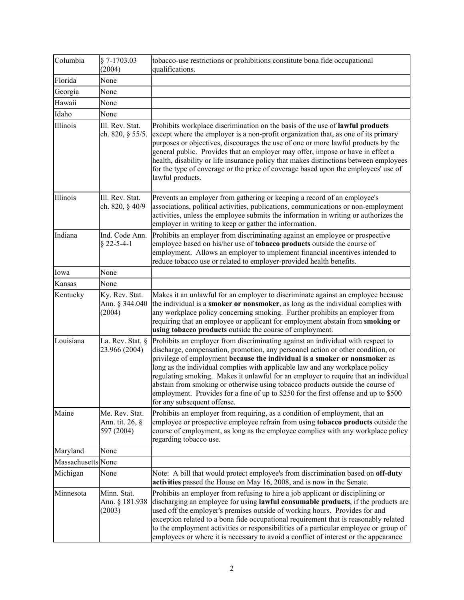| Columbia           | $§ 7-1703.03$<br>(2004)                         | tobacco-use restrictions or prohibitions constitute bona fide occupational<br>qualifications.                                                                                                                                                                                                                                                                                                                                                                                                                                                                                                                                    |
|--------------------|-------------------------------------------------|----------------------------------------------------------------------------------------------------------------------------------------------------------------------------------------------------------------------------------------------------------------------------------------------------------------------------------------------------------------------------------------------------------------------------------------------------------------------------------------------------------------------------------------------------------------------------------------------------------------------------------|
| Florida            | None                                            |                                                                                                                                                                                                                                                                                                                                                                                                                                                                                                                                                                                                                                  |
| Georgia            | None                                            |                                                                                                                                                                                                                                                                                                                                                                                                                                                                                                                                                                                                                                  |
| Hawaii             | None                                            |                                                                                                                                                                                                                                                                                                                                                                                                                                                                                                                                                                                                                                  |
| Idaho              | None                                            |                                                                                                                                                                                                                                                                                                                                                                                                                                                                                                                                                                                                                                  |
| Illinois           | Ill. Rev. Stat.<br>ch. 820, § 55/5.             | Prohibits workplace discrimination on the basis of the use of lawful products<br>except where the employer is a non-profit organization that, as one of its primary<br>purposes or objectives, discourages the use of one or more lawful products by the<br>general public. Provides that an employer may offer, impose or have in effect a<br>health, disability or life insurance policy that makes distinctions between employees<br>for the type of coverage or the price of coverage based upon the employees' use of<br>lawful products.                                                                                   |
| Illinois           | Ill. Rev. Stat.<br>ch. 820, § 40/9              | Prevents an employer from gathering or keeping a record of an employee's<br>associations, political activities, publications, communications or non-employment<br>activities, unless the employee submits the information in writing or authorizes the<br>employer in writing to keep or gather the information.                                                                                                                                                                                                                                                                                                                 |
| Indiana            | Ind. Code Ann.<br>$§$ 22-5-4-1                  | Prohibits an employer from discriminating against an employee or prospective<br>employee based on his/her use of <b>tobacco</b> products outside the course of<br>employment. Allows an employer to implement financial incentives intended to<br>reduce tobacco use or related to employer-provided health benefits.                                                                                                                                                                                                                                                                                                            |
| Iowa               | None                                            |                                                                                                                                                                                                                                                                                                                                                                                                                                                                                                                                                                                                                                  |
| Kansas             | None                                            |                                                                                                                                                                                                                                                                                                                                                                                                                                                                                                                                                                                                                                  |
| Kentucky           | Ky. Rev. Stat.<br>Ann. § 344.040<br>(2004)      | Makes it an unlawful for an employer to discriminate against an employee because<br>the individual is a <b>smoker or nonsmoker</b> , as long as the individual complies with<br>any workplace policy concerning smoking. Further prohibits an employer from<br>requiring that an employee or applicant for employment abstain from smoking or<br>using tobacco products outside the course of employment.                                                                                                                                                                                                                        |
| Louisiana          | La. Rev. Stat. §<br>23.966 (2004)               | Prohibits an employer from discriminating against an individual with respect to<br>discharge, compensation, promotion, any personnel action or other condition, or<br>privilege of employment because the individual is a smoker or nonsmoker as<br>long as the individual complies with applicable law and any workplace policy<br>regulating smoking. Makes it unlawful for an employer to require that an individual<br>abstain from smoking or otherwise using tobacco products outside the course of<br>employment. Provides for a fine of up to \$250 for the first offense and up to \$500<br>for any subsequent offense. |
| Maine              | Me. Rev. Stat.<br>Ann. tit. 26, §<br>597 (2004) | Prohibits an employer from requiring, as a condition of employment, that an<br>employee or prospective employee refrain from using <b>tobacco products</b> outside the<br>course of employment, as long as the employee complies with any workplace policy<br>regarding tobacco use.                                                                                                                                                                                                                                                                                                                                             |
| Maryland           | None                                            |                                                                                                                                                                                                                                                                                                                                                                                                                                                                                                                                                                                                                                  |
| Massachusetts None |                                                 |                                                                                                                                                                                                                                                                                                                                                                                                                                                                                                                                                                                                                                  |
| Michigan           | None                                            | Note: A bill that would protect employee's from discrimination based on off-duty<br>activities passed the House on May 16, 2008, and is now in the Senate.                                                                                                                                                                                                                                                                                                                                                                                                                                                                       |
| Minnesota          | Minn. Stat.<br>Ann. § 181.938<br>(2003)         | Prohibits an employer from refusing to hire a job applicant or disciplining or<br>discharging an employee for using <b>lawful consumable products</b> , if the products are<br>used off the employer's premises outside of working hours. Provides for and<br>exception related to a bona fide occupational requirement that is reasonably related<br>to the employment activities or responsibilities of a particular employee or group of<br>employees or where it is necessary to avoid a conflict of interest or the appearance                                                                                              |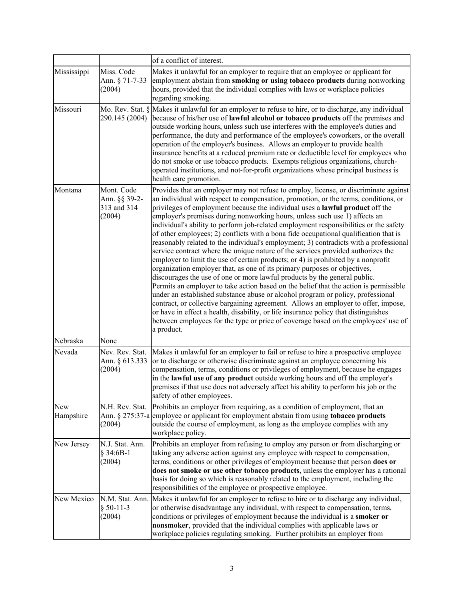|                  |                                                      | of a conflict of interest.                                                                                                                                                                                                                                                                                                                                                                                                                                                                                                                                                                                                                                                                                                                                                                                                                                                                                                                                                                                                                                                                                                                                                                                                                                                                                                                                                                                           |
|------------------|------------------------------------------------------|----------------------------------------------------------------------------------------------------------------------------------------------------------------------------------------------------------------------------------------------------------------------------------------------------------------------------------------------------------------------------------------------------------------------------------------------------------------------------------------------------------------------------------------------------------------------------------------------------------------------------------------------------------------------------------------------------------------------------------------------------------------------------------------------------------------------------------------------------------------------------------------------------------------------------------------------------------------------------------------------------------------------------------------------------------------------------------------------------------------------------------------------------------------------------------------------------------------------------------------------------------------------------------------------------------------------------------------------------------------------------------------------------------------------|
| Mississippi      | Miss. Code<br>Ann. § 71-7-33<br>(2004)               | Makes it unlawful for an employer to require that an employee or applicant for<br>employment abstain from smoking or using tobacco products during nonworking<br>hours, provided that the individual complies with laws or workplace policies<br>regarding smoking.                                                                                                                                                                                                                                                                                                                                                                                                                                                                                                                                                                                                                                                                                                                                                                                                                                                                                                                                                                                                                                                                                                                                                  |
| Missouri         | Mo. Rev. Stat. §<br>290.145 (2004)                   | Makes it unlawful for an employer to refuse to hire, or to discharge, any individual<br>because of his/her use of lawful alcohol or tobacco products off the premises and<br>outside working hours, unless such use interferes with the employee's duties and<br>performance, the duty and performance of the employee's coworkers, or the overall<br>operation of the employer's business. Allows an employer to provide health<br>insurance benefits at a reduced premium rate or deductible level for employees who<br>do not smoke or use tobacco products. Exempts religious organizations, church-<br>operated institutions, and not-for-profit organizations whose principal business is<br>health care promotion.                                                                                                                                                                                                                                                                                                                                                                                                                                                                                                                                                                                                                                                                                            |
| Montana          | Mont. Code<br>Ann. §§ 39-2-<br>313 and 314<br>(2004) | Provides that an employer may not refuse to employ, license, or discriminate against<br>an individual with respect to compensation, promotion, or the terms, conditions, or<br>privileges of employment because the individual uses a lawful product off the<br>employer's premises during nonworking hours, unless such use 1) affects an<br>individual's ability to perform job-related employment responsibilities or the safety<br>of other employees; 2) conflicts with a bona fide occupational qualification that is<br>reasonably related to the individual's employment; 3) contradicts with a professional<br>service contract where the unique nature of the services provided authorizes the<br>employer to limit the use of certain products; or 4) is prohibited by a nonprofit<br>organization employer that, as one of its primary purposes or objectives,<br>discourages the use of one or more lawful products by the general public.<br>Permits an employer to take action based on the belief that the action is permissible<br>under an established substance abuse or alcohol program or policy, professional<br>contract, or collective bargaining agreement. Allows an employer to offer, impose,<br>or have in effect a health, disability, or life insurance policy that distinguishes<br>between employees for the type or price of coverage based on the employees' use of<br>a product. |
| Nebraska         | None                                                 |                                                                                                                                                                                                                                                                                                                                                                                                                                                                                                                                                                                                                                                                                                                                                                                                                                                                                                                                                                                                                                                                                                                                                                                                                                                                                                                                                                                                                      |
| Nevada           | Nev. Rev. Stat.<br>Ann. § 613.333<br>(2004)          | Makes it unlawful for an employer to fail or refuse to hire a prospective employee<br>or to discharge or otherwise discriminate against an employee concerning his<br>compensation, terms, conditions or privileges of employment, because he engages<br>in the lawful use of any product outside working hours and off the employer's<br>premises if that use does not adversely affect his ability to perform his job or the<br>safety of other employees.                                                                                                                                                                                                                                                                                                                                                                                                                                                                                                                                                                                                                                                                                                                                                                                                                                                                                                                                                         |
| New<br>Hampshire | N.H. Rev. Stat.<br>(2004)                            | Prohibits an employer from requiring, as a condition of employment, that an<br>Ann. § 275:37-a employee or applicant for employment abstain from using <b>tobacco products</b><br>outside the course of employment, as long as the employee complies with any<br>workplace policy.                                                                                                                                                                                                                                                                                                                                                                                                                                                                                                                                                                                                                                                                                                                                                                                                                                                                                                                                                                                                                                                                                                                                   |
| New Jersey       | N.J. Stat. Ann.<br>§ 34:6B-1<br>(2004)               | Prohibits an employer from refusing to employ any person or from discharging or<br>taking any adverse action against any employee with respect to compensation,<br>terms, conditions or other privileges of employment because that person does or<br>does not smoke or use other tobacco products, unless the employer has a rational<br>basis for doing so which is reasonably related to the employment, including the<br>responsibilities of the employee or prospective employee.                                                                                                                                                                                                                                                                                                                                                                                                                                                                                                                                                                                                                                                                                                                                                                                                                                                                                                                               |
| New Mexico       | N.M. Stat. Ann.<br>$§ 50-11-3$<br>(2004)             | Makes it unlawful for an employer to refuse to hire or to discharge any individual,<br>or otherwise disadvantage any individual, with respect to compensation, terms,<br>conditions or privileges of employment because the individual is a smoker or<br>nonsmoker, provided that the individual complies with applicable laws or<br>workplace policies regulating smoking. Further prohibits an employer from                                                                                                                                                                                                                                                                                                                                                                                                                                                                                                                                                                                                                                                                                                                                                                                                                                                                                                                                                                                                       |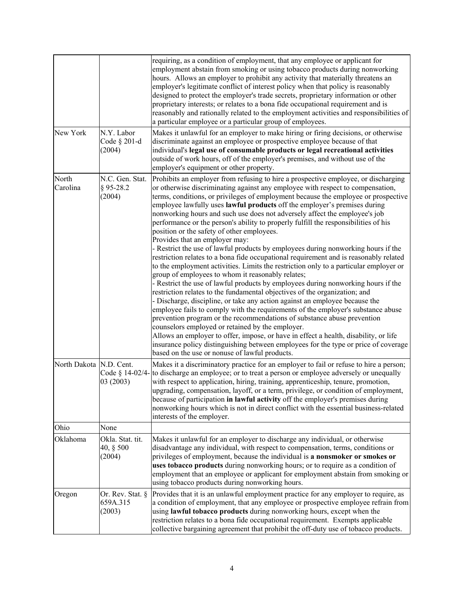|                         |                                          | requiring, as a condition of employment, that any employee or applicant for<br>employment abstain from smoking or using tobacco products during nonworking<br>hours. Allows an employer to prohibit any activity that materially threatens an<br>employer's legitimate conflict of interest policy when that policy is reasonably<br>designed to protect the employer's trade secrets, proprietary information or other<br>proprietary interests; or relates to a bona fide occupational requirement and is<br>reasonably and rationally related to the employment activities and responsibilities of<br>a particular employee or a particular group of employees.                                                                                                                                                                                                                                                                                                                                                                                                                                                                                                                                                                                                                                                                                                                                                                                                                                                                                                                                                             |
|-------------------------|------------------------------------------|--------------------------------------------------------------------------------------------------------------------------------------------------------------------------------------------------------------------------------------------------------------------------------------------------------------------------------------------------------------------------------------------------------------------------------------------------------------------------------------------------------------------------------------------------------------------------------------------------------------------------------------------------------------------------------------------------------------------------------------------------------------------------------------------------------------------------------------------------------------------------------------------------------------------------------------------------------------------------------------------------------------------------------------------------------------------------------------------------------------------------------------------------------------------------------------------------------------------------------------------------------------------------------------------------------------------------------------------------------------------------------------------------------------------------------------------------------------------------------------------------------------------------------------------------------------------------------------------------------------------------------|
| New York                | N.Y. Labor<br>Code § 201-d<br>(2004)     | Makes it unlawful for an employer to make hiring or firing decisions, or otherwise<br>discriminate against an employee or prospective employee because of that<br>individual's legal use of consumable products or legal recreational activities<br>outside of work hours, off of the employer's premises, and without use of the<br>employer's equipment or other property.                                                                                                                                                                                                                                                                                                                                                                                                                                                                                                                                                                                                                                                                                                                                                                                                                                                                                                                                                                                                                                                                                                                                                                                                                                                   |
| North<br>Carolina       | N.C. Gen. Stat.<br>$§$ 95-28.2<br>(2004) | Prohibits an employer from refusing to hire a prospective employee, or discharging<br>or otherwise discriminating against any employee with respect to compensation,<br>terms, conditions, or privileges of employment because the employee or prospective<br>employee lawfully uses lawful products off the employer's premises during<br>nonworking hours and such use does not adversely affect the employee's job<br>performance or the person's ability to properly fulfill the responsibilities of his<br>position or the safety of other employees.<br>Provides that an employer may:<br>- Restrict the use of lawful products by employees during nonworking hours if the<br>restriction relates to a bona fide occupational requirement and is reasonably related<br>to the employment activities. Limits the restriction only to a particular employer or<br>group of employees to whom it reasonably relates;<br>- Restrict the use of lawful products by employees during nonworking hours if the<br>restriction relates to the fundamental objectives of the organization; and<br>- Discharge, discipline, or take any action against an employee because the<br>employee fails to comply with the requirements of the employer's substance abuse<br>prevention program or the recommendations of substance abuse prevention<br>counselors employed or retained by the employer.<br>Allows an employer to offer, impose, or have in effect a health, disability, or life<br>insurance policy distinguishing between employees for the type or price of coverage<br>based on the use or nonuse of lawful products. |
| North Dakota N.D. Cent. | Code § 14-02/4-<br>03 (2003)             | Makes it a discriminatory practice for an employer to fail or refuse to hire a person;<br>to discharge an employee; or to treat a person or employee adversely or unequally<br>with respect to application, hiring, training, apprenticeship, tenure, promotion,<br>upgrading, compensation, layoff, or a term, privilege, or condition of employment,<br>because of participation in lawful activity off the employer's premises during<br>nonworking hours which is not in direct conflict with the essential business-related<br>interests of the employer.                                                                                                                                                                                                                                                                                                                                                                                                                                                                                                                                                                                                                                                                                                                                                                                                                                                                                                                                                                                                                                                                 |
| Ohio                    | None                                     |                                                                                                                                                                                                                                                                                                                                                                                                                                                                                                                                                                                                                                                                                                                                                                                                                                                                                                                                                                                                                                                                                                                                                                                                                                                                                                                                                                                                                                                                                                                                                                                                                                |
| Oklahoma                | Okla. Stat. tit.<br>40, § 500<br>(2004)  | Makes it unlawful for an employer to discharge any individual, or otherwise<br>disadvantage any individual, with respect to compensation, terms, conditions or<br>privileges of employment, because the individual is a nonsmoker or smokes or<br>uses tobacco products during nonworking hours; or to require as a condition of<br>employment that an employee or applicant for employment abstain from smoking or<br>using tobacco products during nonworking hours.                                                                                                                                                                                                                                                                                                                                                                                                                                                                                                                                                                                                                                                                                                                                                                                                                                                                                                                                                                                                                                                                                                                                                         |
| Oregon                  | Or. Rev. Stat. §<br>659A.315<br>(2003)   | Provides that it is an unlawful employment practice for any employer to require, as<br>a condition of employment, that any employee or prospective employee refrain from<br>using lawful tobacco products during nonworking hours, except when the<br>restriction relates to a bona fide occupational requirement. Exempts applicable<br>collective bargaining agreement that prohibit the off-duty use of tobacco products.                                                                                                                                                                                                                                                                                                                                                                                                                                                                                                                                                                                                                                                                                                                                                                                                                                                                                                                                                                                                                                                                                                                                                                                                   |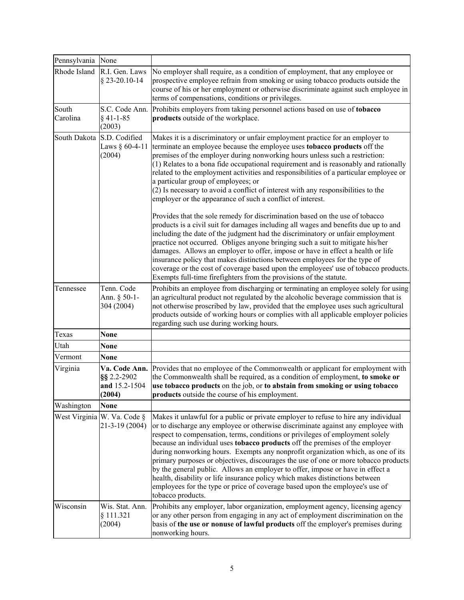| Pennsylvania None |                                                         |                                                                                                                                                                                                                                                                                                                                                                                                                                                                                                                                                                                                                                                                                                                                                                                            |
|-------------------|---------------------------------------------------------|--------------------------------------------------------------------------------------------------------------------------------------------------------------------------------------------------------------------------------------------------------------------------------------------------------------------------------------------------------------------------------------------------------------------------------------------------------------------------------------------------------------------------------------------------------------------------------------------------------------------------------------------------------------------------------------------------------------------------------------------------------------------------------------------|
| Rhode Island      | R.I. Gen. Laws<br>§ 23-20.10-14                         | No employer shall require, as a condition of employment, that any employee or<br>prospective employee refrain from smoking or using tobacco products outside the<br>course of his or her employment or otherwise discriminate against such employee in<br>terms of compensations, conditions or privileges.                                                                                                                                                                                                                                                                                                                                                                                                                                                                                |
| South<br>Carolina | S.C. Code Ann.<br>$§$ 41-1-85<br>(2003)                 | Prohibits employers from taking personnel actions based on use of tobacco<br>products outside of the workplace.                                                                                                                                                                                                                                                                                                                                                                                                                                                                                                                                                                                                                                                                            |
| South Dakota      | S.D. Codified<br>Laws § 60-4-11<br>(2004)               | Makes it is a discriminatory or unfair employment practice for an employer to<br>terminate an employee because the employee uses tobacco products off the<br>premises of the employer during nonworking hours unless such a restriction:<br>(1) Relates to a bona fide occupational requirement and is reasonably and rationally<br>related to the employment activities and responsibilities of a particular employee or<br>a particular group of employees; or<br>(2) Is necessary to avoid a conflict of interest with any responsibilities to the<br>employer or the appearance of such a conflict of interest.                                                                                                                                                                        |
|                   |                                                         | Provides that the sole remedy for discrimination based on the use of tobacco<br>products is a civil suit for damages including all wages and benefits due up to and<br>including the date of the judgment had the discriminatory or unfair employment<br>practice not occurred. Obliges anyone bringing such a suit to mitigate his/her<br>damages. Allows an employer to offer, impose or have in effect a health or life<br>insurance policy that makes distinctions between employees for the type of<br>coverage or the cost of coverage based upon the employees' use of tobacco products.<br>Exempts full-time firefighters from the provisions of the statute.                                                                                                                      |
| Tennessee         | Tenn. Code<br>Ann. § 50-1-<br>304 (2004)                | Prohibits an employee from discharging or terminating an employee solely for using<br>an agricultural product not regulated by the alcoholic beverage commission that is<br>not otherwise proscribed by law, provided that the employee uses such agricultural<br>products outside of working hours or complies with all applicable employer policies<br>regarding such use during working hours.                                                                                                                                                                                                                                                                                                                                                                                          |
| Texas             | None                                                    |                                                                                                                                                                                                                                                                                                                                                                                                                                                                                                                                                                                                                                                                                                                                                                                            |
| Utah              | None                                                    |                                                                                                                                                                                                                                                                                                                                                                                                                                                                                                                                                                                                                                                                                                                                                                                            |
| Vermont           | None                                                    |                                                                                                                                                                                                                                                                                                                                                                                                                                                                                                                                                                                                                                                                                                                                                                                            |
| Virginia          | Va. Code Ann.<br>§§ 2.2-2902<br>and 15.2-1504<br>(2004) | Provides that no employee of the Commonwealth or applicant for employment with<br>the Commonwealth shall be required, as a condition of employment, to smoke or<br>use tobacco products on the job, or to abstain from smoking or using tobacco<br>products outside the course of his employment.                                                                                                                                                                                                                                                                                                                                                                                                                                                                                          |
| Washington        | <b>None</b>                                             |                                                                                                                                                                                                                                                                                                                                                                                                                                                                                                                                                                                                                                                                                                                                                                                            |
|                   | West Virginia W. Va. Code §<br>21-3-19 (2004)           | Makes it unlawful for a public or private employer to refuse to hire any individual<br>or to discharge any employee or otherwise discriminate against any employee with<br>respect to compensation, terms, conditions or privileges of employment solely<br>because an individual uses tobacco products off the premises of the employer<br>during nonworking hours. Exempts any nonprofit organization which, as one of its<br>primary purposes or objectives, discourages the use of one or more tobacco products<br>by the general public. Allows an employer to offer, impose or have in effect a<br>health, disability or life insurance policy which makes distinctions between<br>employees for the type or price of coverage based upon the employee's use of<br>tobacco products. |
| Wisconsin         | Wis. Stat. Ann.<br>§ 111.321<br>(2004)                  | Prohibits any employer, labor organization, employment agency, licensing agency<br>or any other person from engaging in any act of employment discrimination on the<br>basis of the use or nonuse of lawful products off the employer's premises during<br>nonworking hours.                                                                                                                                                                                                                                                                                                                                                                                                                                                                                                               |